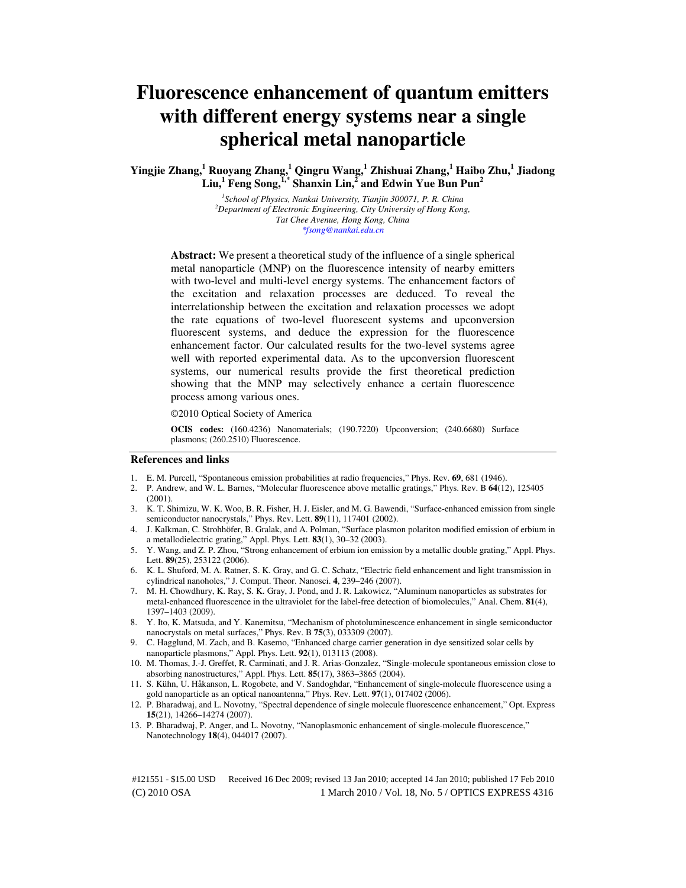# **Fluorescence enhancement of quantum emitters with different energy systems near a single spherical metal nanoparticle**

**Yingjie Zhang,<sup>1</sup> Ruoyang Zhang,<sup>1</sup> Qingru Wang,<sup>1</sup> Zhishuai Zhang,<sup>1</sup> Haibo Zhu,<sup>1</sup> Jiadong Liu,<sup>1</sup> Feng Song,1,\* Shanxin Lin,<sup>2</sup> and Edwin Yue Bun Pun<sup>2</sup>**

> <sup>1</sup> School of Physics, Nankai University, Tianjin 300071, P. R. China *<sup>2</sup>Department of Electronic Engineering, City University of Hong Kong, Tat Chee Avenue, Hong Kong, China \*fsong@nankai.edu.cn*

**Abstract:** We present a theoretical study of the influence of a single spherical metal nanoparticle (MNP) on the fluorescence intensity of nearby emitters with two-level and multi-level energy systems. The enhancement factors of the excitation and relaxation processes are deduced. To reveal the interrelationship between the excitation and relaxation processes we adopt the rate equations of two-level fluorescent systems and upconversion fluorescent systems, and deduce the expression for the fluorescence enhancement factor. Our calculated results for the two-level systems agree well with reported experimental data. As to the upconversion fluorescent systems, our numerical results provide the first theoretical prediction showing that the MNP may selectively enhance a certain fluorescence process among various ones.

©2010 Optical Society of America

**OCIS codes:** (160.4236) Nanomaterials; (190.7220) Upconversion; (240.6680) Surface plasmons; (260.2510) Fluorescence.

#### **References and links**

- 1. E. M. Purcell, "Spontaneous emission probabilities at radio frequencies," Phys. Rev. **69**, 681 (1946).
- 2. P. Andrew, and W. L. Barnes, "Molecular fluorescence above metallic gratings," Phys. Rev. B **64**(12), 125405 (2001).
- 3. K. T. Shimizu, W. K. Woo, B. R. Fisher, H. J. Eisler, and M. G. Bawendi, "Surface-enhanced emission from single semiconductor nanocrystals," Phys. Rev. Lett. **89**(11), 117401 (2002).
- 4. J. Kalkman, C. Strohhöfer, B. Gralak, and A. Polman, "Surface plasmon polariton modified emission of erbium in a metallodielectric grating," Appl. Phys. Lett. **83**(1), 30–32 (2003).
- 5. Y. Wang, and Z. P. Zhou, "Strong enhancement of erbium ion emission by a metallic double grating," Appl. Phys. Lett. **89**(25), 253122 (2006).
- 6. K. L. Shuford, M. A. Ratner, S. K. Gray, and G. C. Schatz, "Electric field enhancement and light transmission in cylindrical nanoholes," J. Comput. Theor. Nanosci. **4**, 239–246 (2007).
- 7. M. H. Chowdhury, K. Ray, S. K. Gray, J. Pond, and J. R. Lakowicz, "Aluminum nanoparticles as substrates for metal-enhanced fluorescence in the ultraviolet for the label-free detection of biomolecules," Anal. Chem. **81**(4), 1397–1403 (2009).
- 8. Y. Ito, K. Matsuda, and Y. Kanemitsu, "Mechanism of photoluminescence enhancement in single semiconductor nanocrystals on metal surfaces," Phys. Rev. B **75**(3), 033309 (2007).
- 9. C. Hagglund, M. Zach, and B. Kasemo, "Enhanced charge carrier generation in dye sensitized solar cells by nanoparticle plasmons," Appl. Phys. Lett. **92**(1), 013113 (2008).
- 10. M. Thomas, J.-J. Greffet, R. Carminati, and J. R. Arias-Gonzalez, "Single-molecule spontaneous emission close to absorbing nanostructures," Appl. Phys. Lett. **85**(17), 3863–3865 (2004).
- 11. S. Kühn, U. Håkanson, L. Rogobete, and V. Sandoghdar, "Enhancement of single-molecule fluorescence using a gold nanoparticle as an optical nanoantenna," Phys. Rev. Lett. **97**(1), 017402 (2006).
- 12. P. Bharadwaj, and L. Novotny, "Spectral dependence of single molecule fluorescence enhancement," Opt. Express **15**(21), 14266–14274 (2007).
- 13. P. Bharadwaj, P. Anger, and L. Novotny, "Nanoplasmonic enhancement of single-molecule fluorescence," Nanotechnology **18**(4), 044017 (2007).

(C) 2010 OSA 1 March 2010 / Vol. 18, No. 5 / OPTICS EXPRESS 4316 #121551 - \$15.00 USD Received 16 Dec 2009; revised 13 Jan 2010; accepted 14 Jan 2010; published 17 Feb 2010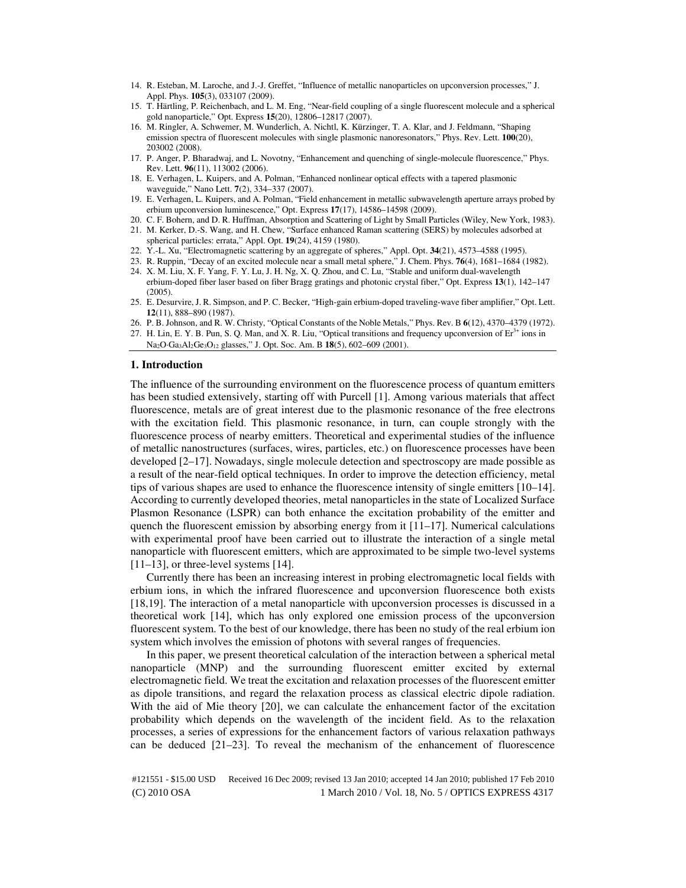- 14. R. Esteban, M. Laroche, and J.-J. Greffet, "Influence of metallic nanoparticles on upconversion processes," J. Appl. Phys. **105**(3), 033107 (2009).
- 15. T. Härtling, P. Reichenbach, and L. M. Eng, "Near-field coupling of a single fluorescent molecule and a spherical gold nanoparticle," Opt. Express **15**(20), 12806–12817 (2007).
- 16. M. Ringler, A. Schwemer, M. Wunderlich, A. Nichtl, K. Kürzinger, T. A. Klar, and J. Feldmann, "Shaping emission spectra of fluorescent molecules with single plasmonic nanoresonators," Phys. Rev. Lett. **100**(20), 203002 (2008).
- 17. P. Anger, P. Bharadwaj, and L. Novotny, "Enhancement and quenching of single-molecule fluorescence," Phys. Rev. Lett. **96**(11), 113002 (2006).
- 18. E. Verhagen, L. Kuipers, and A. Polman, "Enhanced nonlinear optical effects with a tapered plasmonic waveguide," Nano Lett. **7**(2), 334–337 (2007).
- 19. E. Verhagen, L. Kuipers, and A. Polman, "Field enhancement in metallic subwavelength aperture arrays probed by erbium upconversion luminescence," Opt. Express **17**(17), 14586–14598 (2009).
- 20. C. F. Bohern, and D. R. Huffman, Absorption and Scattering of Light by Small Particles (Wiley, New York, 1983).
- 21. M. Kerker, D.-S. Wang, and H. Chew, "Surface enhanced Raman scattering (SERS) by molecules adsorbed at spherical particles: errata," Appl. Opt. **19**(24), 4159 (1980).
- 22. Y.-L. Xu, "Electromagnetic scattering by an aggregate of spheres," Appl. Opt. **34**(21), 4573–4588 (1995).
- 23. R. Ruppin, "Decay of an excited molecule near a small metal sphere," J. Chem. Phys. **76**(4), 1681–1684 (1982).
- 24. X. M. Liu, X. F. Yang, F. Y. Lu, J. H. Ng, X. Q. Zhou, and C. Lu, "Stable and uniform dual-wavelength erbium-doped fiber laser based on fiber Bragg gratings and photonic crystal fiber," Opt. Express **13**(1), 142–147 (2005).
- 25. E. Desurvire, J. R. Simpson, and P. C. Becker, "High-gain erbium-doped traveling-wave fiber amplifier," Opt. Lett. **12**(11), 888–890 (1987).
- 26. P. B. Johnson, and R. W. Christy, "Optical Constants of the Noble Metals," Phys. Rev. B **6**(12), 4370–4379 (1972).
- 27. H. Lin, E. Y. B. Pun, S. Q. Man, and X. R. Liu, "Optical transitions and frequency upconversion of  $E<sup>3+</sup>$  ions in Na2O⋅Ga3Al2Ge3O12 glasses," J. Opt. Soc. Am. B **18**(5), 602–609 (2001).

# **1. Introduction**

The influence of the surrounding environment on the fluorescence process of quantum emitters has been studied extensively, starting off with Purcell [1]. Among various materials that affect fluorescence, metals are of great interest due to the plasmonic resonance of the free electrons with the excitation field. This plasmonic resonance, in turn, can couple strongly with the fluorescence process of nearby emitters. Theoretical and experimental studies of the influence of metallic nanostructures (surfaces, wires, particles, etc.) on fluorescence processes have been developed [2–17]. Nowadays, single molecule detection and spectroscopy are made possible as a result of the near-field optical techniques. In order to improve the detection efficiency, metal tips of various shapes are used to enhance the fluorescence intensity of single emitters [10–14]. According to currently developed theories, metal nanoparticles in the state of Localized Surface Plasmon Resonance (LSPR) can both enhance the excitation probability of the emitter and quench the fluorescent emission by absorbing energy from it  $[11–17]$ . Numerical calculations with experimental proof have been carried out to illustrate the interaction of a single metal nanoparticle with fluorescent emitters, which are approximated to be simple two-level systems [11–13], or three-level systems [14].

Currently there has been an increasing interest in probing electromagnetic local fields with erbium ions, in which the infrared fluorescence and upconversion fluorescence both exists [18,19]. The interaction of a metal nanoparticle with upconversion processes is discussed in a theoretical work [14], which has only explored one emission process of the upconversion fluorescent system. To the best of our knowledge, there has been no study of the real erbium ion system which involves the emission of photons with several ranges of frequencies.

In this paper, we present theoretical calculation of the interaction between a spherical metal nanoparticle (MNP) and the surrounding fluorescent emitter excited by external electromagnetic field. We treat the excitation and relaxation processes of the fluorescent emitter as dipole transitions, and regard the relaxation process as classical electric dipole radiation. With the aid of Mie theory [20], we can calculate the enhancement factor of the excitation probability which depends on the wavelength of the incident field. As to the relaxation processes, a series of expressions for the enhancement factors of various relaxation pathways can be deduced [21–23]. To reveal the mechanism of the enhancement of fluorescence

(C) 2010 OSA 1 March 2010 / Vol. 18, No. 5 / OPTICS EXPRESS 4317 #121551 - \$15.00 USD Received 16 Dec 2009; revised 13 Jan 2010; accepted 14 Jan 2010; published 17 Feb 2010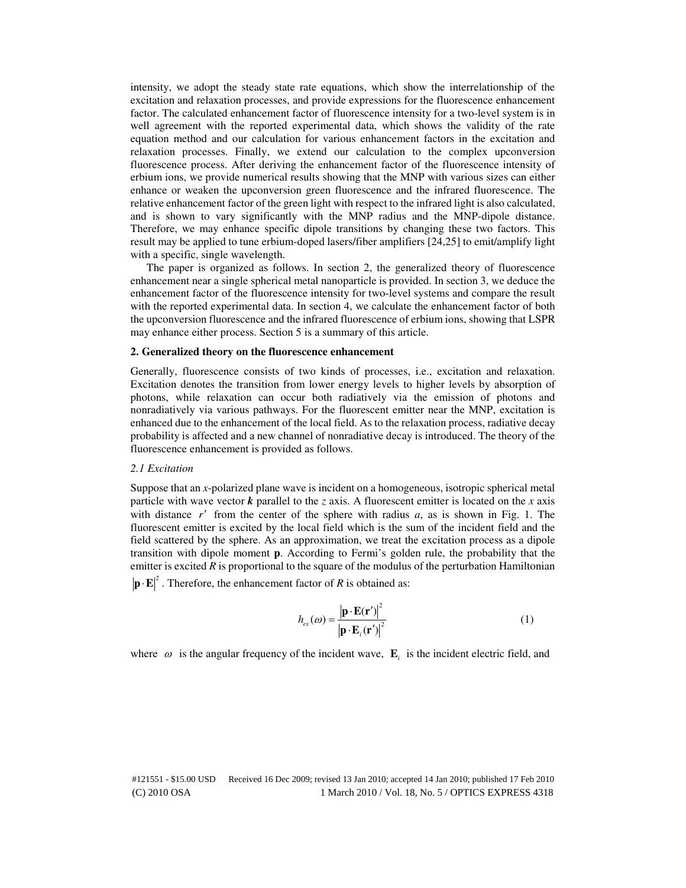intensity, we adopt the steady state rate equations, which show the interrelationship of the excitation and relaxation processes, and provide expressions for the fluorescence enhancement factor. The calculated enhancement factor of fluorescence intensity for a two-level system is in well agreement with the reported experimental data, which shows the validity of the rate equation method and our calculation for various enhancement factors in the excitation and relaxation processes. Finally, we extend our calculation to the complex upconversion fluorescence process. After deriving the enhancement factor of the fluorescence intensity of erbium ions, we provide numerical results showing that the MNP with various sizes can either enhance or weaken the upconversion green fluorescence and the infrared fluorescence. The relative enhancement factor of the green light with respect to the infrared light is also calculated, and is shown to vary significantly with the MNP radius and the MNP-dipole distance. Therefore, we may enhance specific dipole transitions by changing these two factors. This result may be applied to tune erbium-doped lasers/fiber amplifiers [24,25] to emit/amplify light with a specific, single wavelength.

The paper is organized as follows. In section 2, the generalized theory of fluorescence enhancement near a single spherical metal nanoparticle is provided. In section 3, we deduce the enhancement factor of the fluorescence intensity for two-level systems and compare the result with the reported experimental data. In section 4, we calculate the enhancement factor of both the upconversion fluorescence and the infrared fluorescence of erbium ions, showing that LSPR may enhance either process. Section 5 is a summary of this article.

#### **2. Generalized theory on the fluorescence enhancement**

Generally, fluorescence consists of two kinds of processes, i.e., excitation and relaxation. Excitation denotes the transition from lower energy levels to higher levels by absorption of photons, while relaxation can occur both radiatively via the emission of photons and nonradiatively via various pathways. For the fluorescent emitter near the MNP, excitation is enhanced due to the enhancement of the local field. As to the relaxation process, radiative decay probability is affected and a new channel of nonradiative decay is introduced. The theory of the fluorescence enhancement is provided as follows.

#### *2.1 Excitation*

Suppose that an *x*-polarized plane wave is incident on a homogeneous, isotropic spherical metal particle with wave vector  $\boldsymbol{k}$  parallel to the *z* axis. A fluorescent emitter is located on the *x* axis with distance *r*′ from the center of the sphere with radius *a*, as is shown in Fig. 1. The fluorescent emitter is excited by the local field which is the sum of the incident field and the field scattered by the sphere. As an approximation, we treat the excitation process as a dipole transition with dipole moment **p**. According to Fermi's golden rule, the probability that the emitter is excited  $R$  is proportional to the square of the modulus of the perturbation Hamiltonian

 $\mathbf{p} \cdot \mathbf{E} \vert^2$ . Therefore, the enhancement factor of *R* is obtained as:

$$
h_{ex}(\omega) = \frac{\left|\mathbf{p} \cdot \mathbf{E}(\mathbf{r}')\right|^2}{\left|\mathbf{p} \cdot \mathbf{E}_i(\mathbf{r}')\right|^2}
$$
(1)

where  $\omega$  is the angular frequency of the incident wave,  $\mathbf{E}_i$  is the incident electric field, and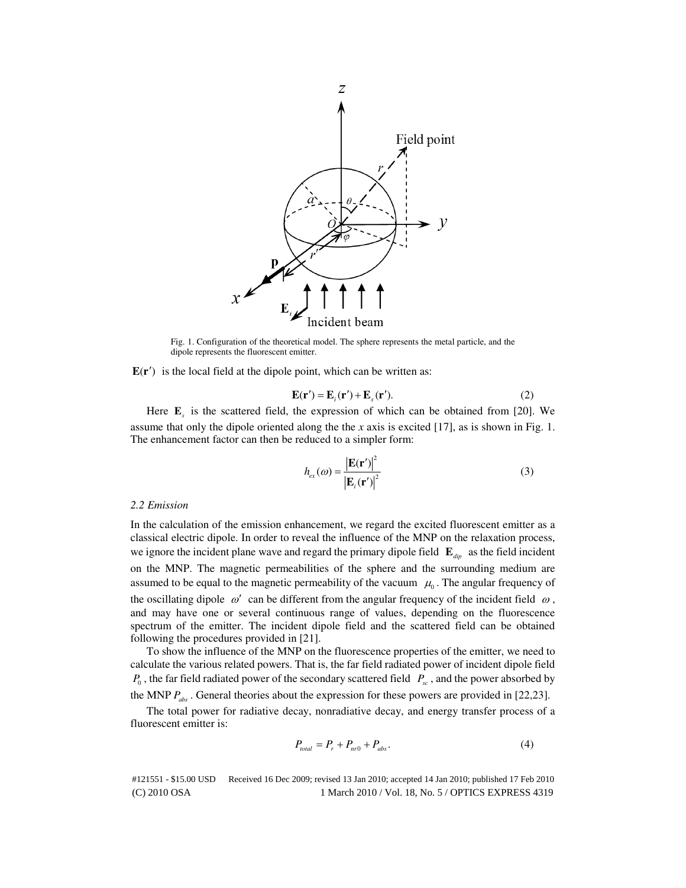

Fig. 1. Configuration of the theoretical model. The sphere represents the metal particle, and the dipole represents the fluorescent emitter.

 $E(r')$  is the local field at the dipole point, which can be written as:

$$
\mathbf{E}(\mathbf{r}') = \mathbf{E}_i(\mathbf{r}') + \mathbf{E}_s(\mathbf{r}').
$$
 (2)

Here **E***<sup>s</sup>* is the scattered field, the expression of which can be obtained from [20]. We assume that only the dipole oriented along the the *x* axis is excited [17], as is shown in Fig. 1. The enhancement factor can then be reduced to a simpler form:

$$
h_{ex}(\omega) = \frac{\left|\mathbf{E}(\mathbf{r}')\right|^2}{\left|\mathbf{E}_i(\mathbf{r}')\right|^2}
$$
(3)

#### *2.2 Emission*

In the calculation of the emission enhancement, we regard the excited fluorescent emitter as a classical electric dipole. In order to reveal the influence of the MNP on the relaxation process, we ignore the incident plane wave and regard the primary dipole field  $\mathbf{E}_{div}$  as the field incident on the MNP. The magnetic permeabilities of the sphere and the surrounding medium are assumed to be equal to the magnetic permeability of the vacuum  $\mu_0$ . The angular frequency of the oscillating dipole  $\omega'$  can be different from the angular frequency of the incident field  $\omega$ , and may have one or several continuous range of values, depending on the fluorescence spectrum of the emitter. The incident dipole field and the scattered field can be obtained following the procedures provided in [21].

To show the influence of the MNP on the fluorescence properties of the emitter, we need to calculate the various related powers. That is, the far field radiated power of incident dipole field *P*0 , the far field radiated power of the secondary scattered field *Psc* , and the power absorbed by the MNP  $P_{abs}$ . General theories about the expression for these powers are provided in [22,23].

The total power for radiative decay, nonradiative decay, and energy transfer process of a fluorescent emitter is:

$$
P_{total} = P_r + P_{nr0} + P_{abs}.
$$
 (4)

(C) 2010 OSA 1 March 2010 / Vol. 18, No. 5 / OPTICS EXPRESS 4319 #121551 - \$15.00 USD Received 16 Dec 2009; revised 13 Jan 2010; accepted 14 Jan 2010; published 17 Feb 2010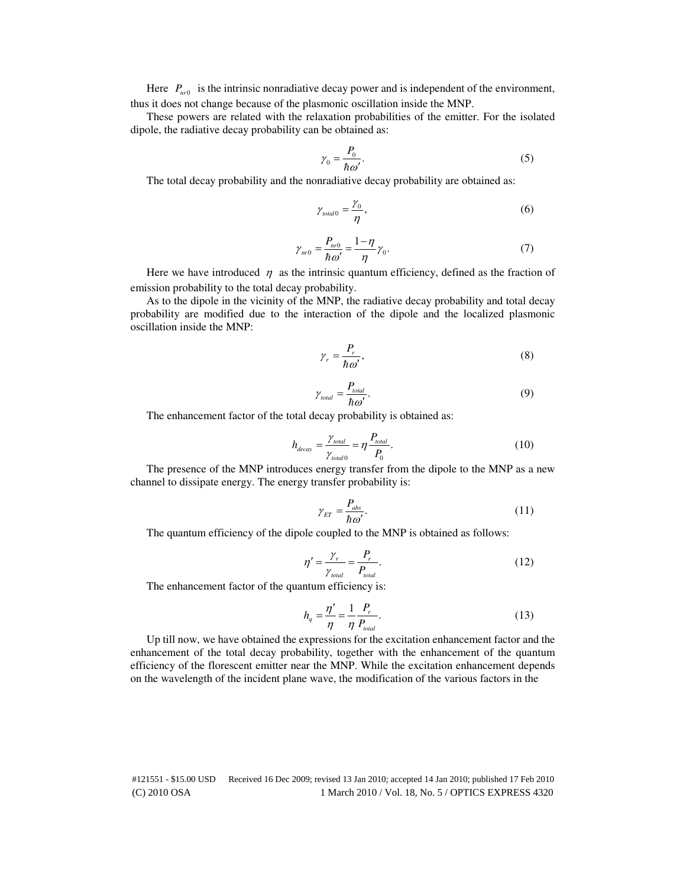Here  $P_{nr0}$  is the intrinsic nonradiative decay power and is independent of the environment, thus it does not change because of the plasmonic oscillation inside the MNP.

These powers are related with the relaxation probabilities of the emitter. For the isolated dipole, the radiative decay probability can be obtained as:

$$
\gamma_0 = \frac{P_0}{\hbar \omega'}.\tag{5}
$$

The total decay probability and the nonradiative decay probability are obtained as:

$$
\gamma_{total0} = \frac{\gamma_0}{\eta},\tag{6}
$$

$$
\gamma_{nr0} = \frac{P_{nr0}}{\hbar \omega'} = \frac{1 - \eta}{\eta} \gamma_0.
$$
\n(7)

Here we have introduced  $\eta$  as the intrinsic quantum efficiency, defined as the fraction of emission probability to the total decay probability.

As to the dipole in the vicinity of the MNP, the radiative decay probability and total decay probability are modified due to the interaction of the dipole and the localized plasmonic oscillation inside the MNP:

$$
\gamma_r = \frac{P_r}{\hbar \omega'},\tag{8}
$$

$$
\gamma_{total} = \frac{P_{total}}{\hbar \omega'}.
$$
\n(9)

The enhancement factor of the total decay probability is obtained as:

$$
h_{decay} = \frac{\gamma_{total}}{\gamma_{total}} = \eta \frac{P_{total}}{P_0}.
$$
\n(10)

The presence of the MNP introduces energy transfer from the dipole to the MNP as a new channel to dissipate energy. The energy transfer probability is:

$$
\gamma_{ET} = \frac{P_{abs}}{\hbar \omega'}.\tag{11}
$$

The quantum efficiency of the dipole coupled to the MNP is obtained as follows:

$$
\eta' = \frac{\gamma_r}{\gamma_{total}} = \frac{P_r}{P_{total}}.\tag{12}
$$

The enhancement factor of the quantum efficiency is:

$$
h_q = \frac{\eta'}{\eta} = \frac{1}{\eta} \frac{P_r}{P_{total}}.
$$
\n(13)

Up till now, we have obtained the expressions for the excitation enhancement factor and the enhancement of the total decay probability, together with the enhancement of the quantum efficiency of the florescent emitter near the MNP. While the excitation enhancement depends on the wavelength of the incident plane wave, the modification of the various factors in the

(C) 2010 OSA 1 March 2010 / Vol. 18, No. 5 / OPTICS EXPRESS 4320 #121551 - \$15.00 USD Received 16 Dec 2009; revised 13 Jan 2010; accepted 14 Jan 2010; published 17 Feb 2010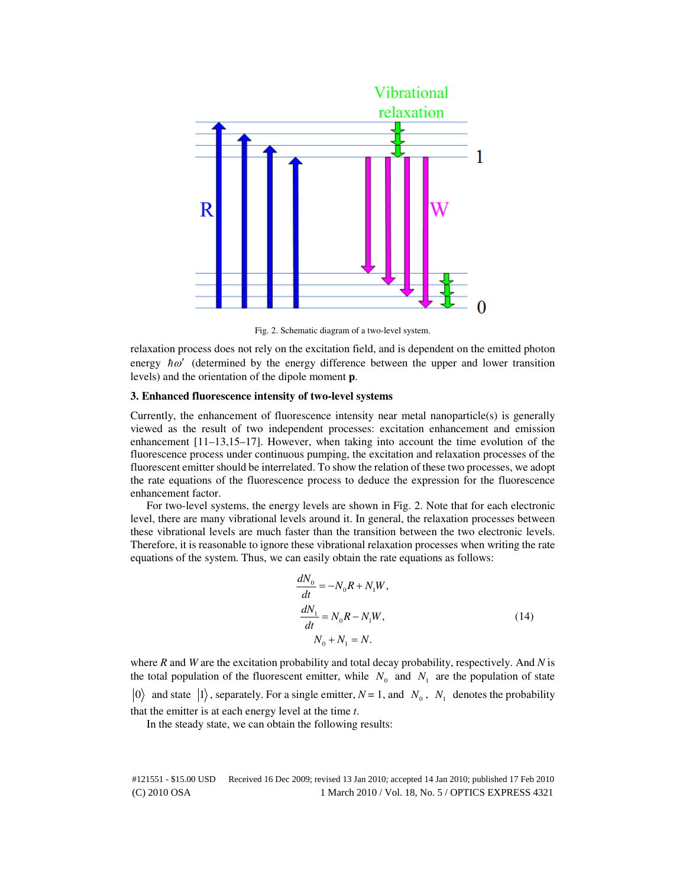

Fig. 2. Schematic diagram of a two-level system.

relaxation process does not rely on the excitation field, and is dependent on the emitted photon energy  $\hbar \omega'$  (determined by the energy difference between the upper and lower transition levels) and the orientation of the dipole moment **p**.

#### **3. Enhanced fluorescence intensity of two-level systems**

Currently, the enhancement of fluorescence intensity near metal nanoparticle(s) is generally viewed as the result of two independent processes: excitation enhancement and emission enhancement [11–13,15–17]. However, when taking into account the time evolution of the fluorescence process under continuous pumping, the excitation and relaxation processes of the fluorescent emitter should be interrelated. To show the relation of these two processes, we adopt the rate equations of the fluorescence process to deduce the expression for the fluorescence enhancement factor.

For two-level systems, the energy levels are shown in Fig. 2. Note that for each electronic level, there are many vibrational levels around it. In general, the relaxation processes between these vibrational levels are much faster than the transition between the two electronic levels. Therefore, it is reasonable to ignore these vibrational relaxation processes when writing the rate equations of the system. Thus, we can easily obtain the rate equations as follows:

$$
\frac{dN_0}{dt} = -N_0 R + N_1 W,
$$
  
\n
$$
\frac{dN_1}{dt} = N_0 R - N_1 W,
$$
  
\n
$$
N_0 + N_1 = N.
$$
\n(14)

where *R* and *W* are the excitation probability and total decay probability, respectively. And *N* is the total population of the fluorescent emitter, while  $N_0$  and  $N_1$  are the population of state 0) and state  $|1\rangle$ , separately. For a single emitter,  $N = 1$ , and  $N_0$ ,  $N_1$  denotes the probability that the emitter is at each energy level at the time *t*.

In the steady state, we can obtain the following results:

(C) 2010 OSA 1 March 2010 / Vol. 18, No. 5 / OPTICS EXPRESS 4321 #121551 - \$15.00 USD Received 16 Dec 2009; revised 13 Jan 2010; accepted 14 Jan 2010; published 17 Feb 2010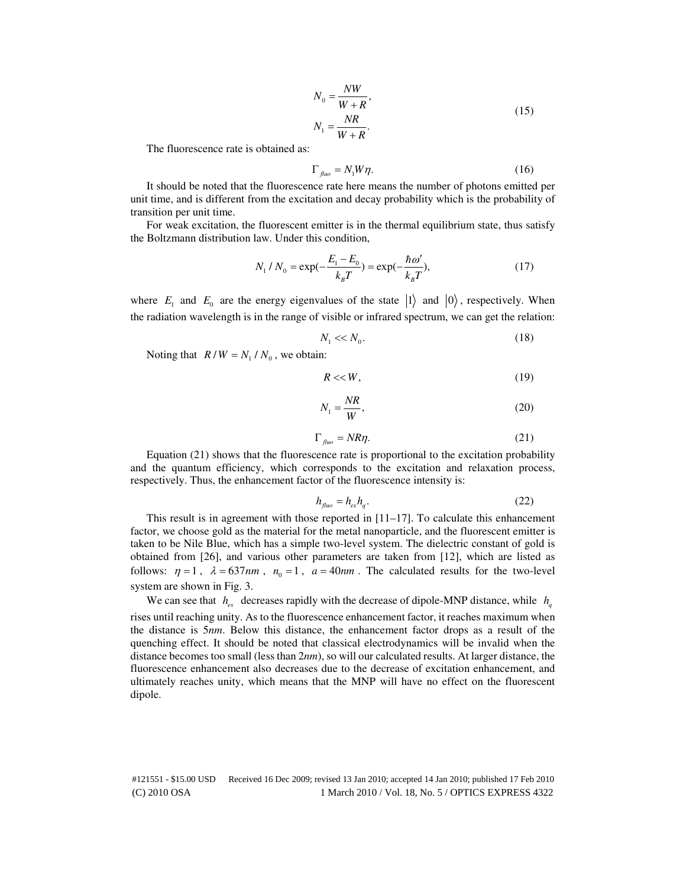$$
N_0 = \frac{NW}{W + R},
$$
  
\n
$$
N_1 = \frac{NR}{W + R}.
$$
\n(15)

The fluorescence rate is obtained as:

$$
\Gamma_{\text{fluo}} = N_1 W \eta. \tag{16}
$$

It should be noted that the fluorescence rate here means the number of photons emitted per unit time, and is different from the excitation and decay probability which is the probability of transition per unit time.

For weak excitation, the fluorescent emitter is in the thermal equilibrium state, thus satisfy the Boltzmann distribution law. Under this condition,

$$
N_1 / N_0 = \exp(-\frac{E_1 - E_0}{k_B T}) = \exp(-\frac{\hbar \omega'}{k_B T}),
$$
\n(17)

where  $E_1$  and  $E_0$  are the energy eigenvalues of the state  $|1\rangle$  and  $|0\rangle$ , respectively. When the radiation wavelength is in the range of visible or infrared spectrum, we can get the relation:

$$
N_1 \ll N_0. \tag{18}
$$

Noting that  $R/W = N_1 / N_0$ , we obtain:

$$
R \ll W, \tag{19}
$$

$$
N_1 = \frac{NR}{W},\tag{20}
$$

$$
\Gamma_{\text{fluo}} = N R \eta. \tag{21}
$$

Equation (21) shows that the fluorescence rate is proportional to the excitation probability and the quantum efficiency, which corresponds to the excitation and relaxation process, respectively. Thus, the enhancement factor of the fluorescence intensity is:

$$
h_{\text{fluo}} = h_{\text{ex}} h_q. \tag{22}
$$

This result is in agreement with those reported in  $[11-17]$ . To calculate this enhancement factor, we choose gold as the material for the metal nanoparticle, and the fluorescent emitter is taken to be Nile Blue, which has a simple two-level system. The dielectric constant of gold is obtained from [26], and various other parameters are taken from [12], which are listed as follows:  $\eta = 1$ ,  $\lambda = 637nm$ ,  $n_0 = 1$ ,  $a = 40nm$ . The calculated results for the two-level system are shown in Fig. 3.

We can see that  $h_{ex}$  decreases rapidly with the decrease of dipole-MNP distance, while  $h_q$ rises until reaching unity. As to the fluorescence enhancement factor, it reaches maximum when the distance is 5*nm*. Below this distance, the enhancement factor drops as a result of the quenching effect. It should be noted that classical electrodynamics will be invalid when the distance becomes too small (less than 2*nm*), so will our calculated results. At larger distance, the fluorescence enhancement also decreases due to the decrease of excitation enhancement, and ultimately reaches unity, which means that the MNP will have no effect on the fluorescent dipole.

(C) 2010 OSA 1 March 2010 / Vol. 18, No. 5 / OPTICS EXPRESS 4322 #121551 - \$15.00 USD Received 16 Dec 2009; revised 13 Jan 2010; accepted 14 Jan 2010; published 17 Feb 2010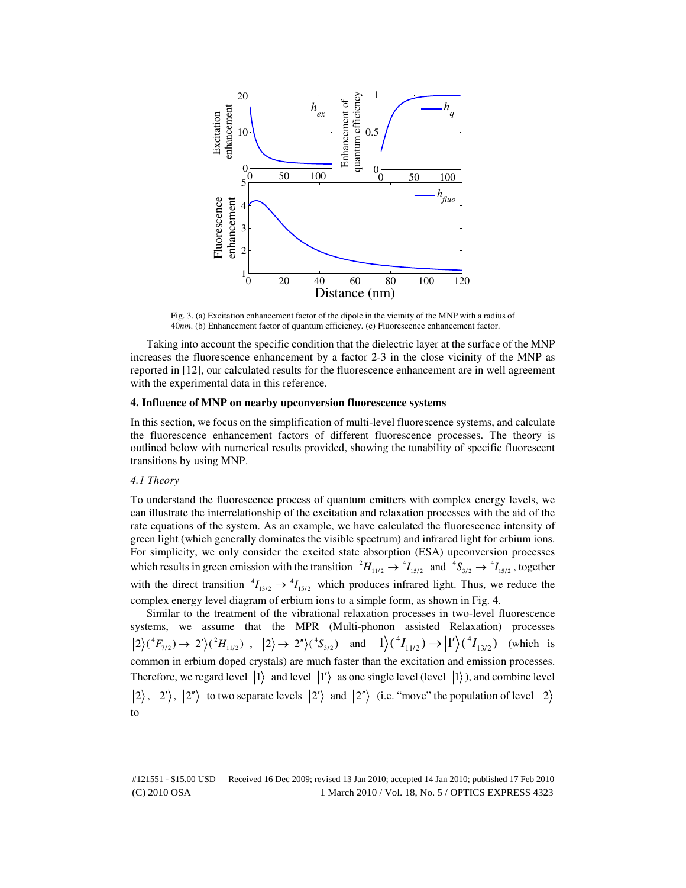

Fig. 3. (a) Excitation enhancement factor of the dipole in the vicinity of the MNP with a radius of 40*nm*. (b) Enhancement factor of quantum efficiency. (c) Fluorescence enhancement factor.

Taking into account the specific condition that the dielectric layer at the surface of the MNP increases the fluorescence enhancement by a factor 2-3 in the close vicinity of the MNP as reported in [12], our calculated results for the fluorescence enhancement are in well agreement with the experimental data in this reference.

### **4. Influence of MNP on nearby upconversion fluorescence systems**

In this section, we focus on the simplification of multi-level fluorescence systems, and calculate the fluorescence enhancement factors of different fluorescence processes. The theory is outlined below with numerical results provided, showing the tunability of specific fluorescent transitions by using MNP.

# *4.1 Theory*

To understand the fluorescence process of quantum emitters with complex energy levels, we can illustrate the interrelationship of the excitation and relaxation processes with the aid of the rate equations of the system. As an example, we have calculated the fluorescence intensity of green light (which generally dominates the visible spectrum) and infrared light for erbium ions. For simplicity, we only consider the excited state absorption (ESA) upconversion processes which results in green emission with the transition  ${}^2H_{11/2} \rightarrow {}^4I_{15/2}$  and  ${}^4S_{3/2} \rightarrow {}^4I_{15/2}$ , together with the direct transition  ${}^{4}I_{13/2} \rightarrow {}^{4}I_{15/2}$  which produces infrared light. Thus, we reduce the complex energy level diagram of erbium ions to a simple form, as shown in Fig. 4.

Similar to the treatment of the vibrational relaxation processes in two-level fluorescence systems, we assume that the MPR (Multi-phonon assisted Relaxation) processes  $2\langle ({}^4F_{7/2}) \rightarrow |2'\rangle({}^2H_{11/2})$ ,  $|2\rangle \rightarrow |2''\rangle({}^4S_{3/2})$  and  $|1\rangle({}^4I_{11/2}) \rightarrow |1'\rangle({}^4I_{13/2})$  (which is common in erbium doped crystals) are much faster than the excitation and emission processes. Therefore, we regard level  $|1\rangle$  and level  $|1'\rangle$  as one single level (level  $|1\rangle$ ), and combine level  $|2\rangle$ ,  $|2'\rangle$ ,  $|2''\rangle$  to two separate levels  $|2'\rangle$  and  $|2''\rangle$  (i.e. "move" the population of level  $|2\rangle$ to

(C) 2010 OSA 1 March 2010 / Vol. 18, No. 5 / OPTICS EXPRESS 4323 #121551 - \$15.00 USD Received 16 Dec 2009; revised 13 Jan 2010; accepted 14 Jan 2010; published 17 Feb 2010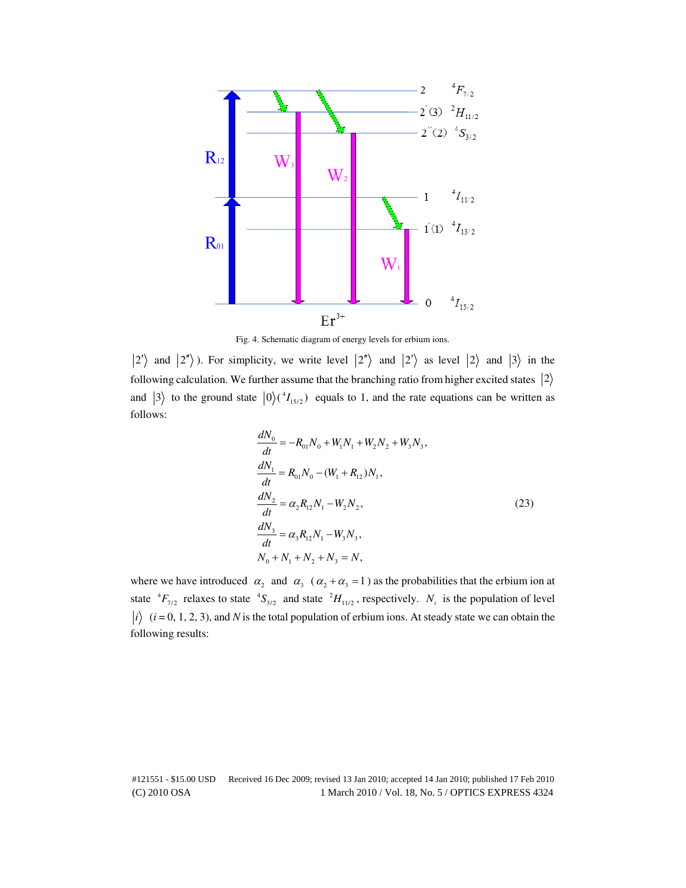

Fig. 4. Schematic diagram of energy levels for erbium ions.

 $|2'\rangle$  and  $|2''\rangle$ ). For simplicity, we write level  $|2''\rangle$  and  $|2'\rangle$  as level  $|2\rangle$  and  $|3\rangle$  in the following calculation. We further assume that the branching ratio from higher excited states  $|2\rangle$ and  $|3\rangle$  to the ground state  $|0\rangle(^{4}I_{15/2})$  equals to 1, and the rate equations can be written as follows:

$$
\frac{dN_0}{dt} = -R_{01}N_0 + W_1N_1 + W_2N_2 + W_3N_3,
$$
\n
$$
\frac{dN_1}{dt} = R_{01}N_0 - (W_1 + R_{12})N_1,
$$
\n
$$
\frac{dN_2}{dt} = \alpha_2 R_{12}N_1 - W_2N_2,
$$
\n
$$
\frac{dN_3}{dt} = \alpha_3 R_{12}N_1 - W_3N_3,
$$
\n
$$
N_0 + N_1 + N_2 + N_3 = N,
$$
\n(23)

where we have introduced  $\alpha_2$  and  $\alpha_3$  ( $\alpha_2 + \alpha_3 = 1$ ) as the probabilities that the erbium ion at state  ${}^4F_{7/2}$  relaxes to state  ${}^4S_{3/2}$  and state  ${}^2H_{11/2}$ , respectively.  $N_i$  is the population of level  $|i\rangle$  (*i* = 0, 1, 2, 3), and *N* is the total population of erbium ions. At steady state we can obtain the following results:

(C) 2010 OSA 1 March 2010 / Vol. 18, No. 5 / OPTICS EXPRESS 4324 #121551 - \$15.00 USD Received 16 Dec 2009; revised 13 Jan 2010; accepted 14 Jan 2010; published 17 Feb 2010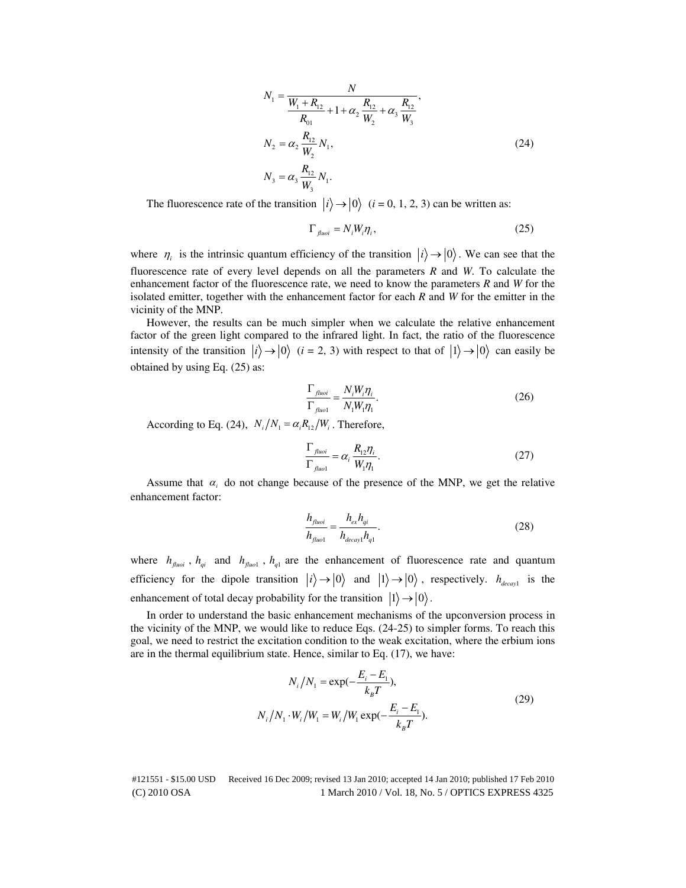$$
N_{1} = \frac{N}{\frac{W_{1} + R_{12}}{R_{01}} + 1 + \alpha_{2} \frac{R_{12}}{W_{2}} + \alpha_{3} \frac{R_{12}}{W_{3}}},
$$
  
\n
$$
N_{2} = \alpha_{2} \frac{R_{12}}{W_{2}} N_{1},
$$
  
\n
$$
N_{3} = \alpha_{3} \frac{R_{12}}{W_{3}} N_{1}.
$$
\n(24)

The fluorescence rate of the transition  $|i\rangle \rightarrow |0\rangle$  (*i* = 0, 1, 2, 3) can be written as:

$$
\Gamma_{\text{fluoi}} = N_i W_i \eta_i,\tag{25}
$$

where  $\eta_i$  is the intrinsic quantum efficiency of the transition  $|i\rangle \rightarrow |0\rangle$ . We can see that the fluorescence rate of every level depends on all the parameters *R* and *W*. To calculate the enhancement factor of the fluorescence rate, we need to know the parameters *R* and *W* for the isolated emitter, together with the enhancement factor for each *R* and *W* for the emitter in the vicinity of the MNP.

However, the results can be much simpler when we calculate the relative enhancement factor of the green light compared to the infrared light. In fact, the ratio of the fluorescence intensity of the transition  $|i\rangle \rightarrow |0\rangle$  (*i* = 2, 3) with respect to that of  $|1\rangle \rightarrow |0\rangle$  can easily be obtained by using Eq. (25) as:

$$
\frac{\Gamma_{fluoi}}{\Gamma_{fluoi}} = \frac{N_i W_i \eta_i}{N_1 W_i \eta_i}.
$$
\n(26)

According to Eq. (24),  $N_i/N_i = \alpha_i R_{12}/W_i$ . Therefore,

$$
\frac{\Gamma_{fluoi}}{\Gamma_{fluoi}} = \alpha_i \frac{R_{12}\eta_i}{W_1 \eta_i}.
$$
\n(27)

Assume that  $\alpha_i$  do not change because of the presence of the MNP, we get the relative enhancement factor:

$$
\frac{h_{fluoi}}{h_{fluoi}} = \frac{h_{ex}h_{qi}}{h_{decay1}h_{q1}}.
$$
\n(28)

where  $h_{\text{fluoi}}$ ,  $h_{\text{gl}}$  and  $h_{\text{fluol}}$ ,  $h_{\text{gl}}$  are the enhancement of fluorescence rate and quantum efficiency for the dipole transition  $|i\rangle \rightarrow |0\rangle$  and  $|1\rangle \rightarrow |0\rangle$ , respectively.  $h_{decay1}$  is the enhancement of total decay probability for the transition  $|1\rangle \rightarrow |0\rangle$ .

In order to understand the basic enhancement mechanisms of the upconversion process in the vicinity of the MNP, we would like to reduce Eqs. (24-25) to simpler forms. To reach this goal, we need to restrict the excitation condition to the weak excitation, where the erbium ions are in the thermal equilibrium state. Hence, similar to Eq. (17), we have:

$$
N_{i}/N_{1} = \exp(-\frac{E_{i} - E_{1}}{k_{B}T}),
$$
  
\n
$$
N_{i}/N_{1} \cdot W_{i}/W_{1} = W_{i}/W_{1} \exp(-\frac{E_{i} - E_{1}}{k_{B}T}).
$$
\n(29)

(C) 2010 OSA 1 March 2010 / Vol. 18, No. 5 / OPTICS EXPRESS 4325 #121551 - \$15.00 USD Received 16 Dec 2009; revised 13 Jan 2010; accepted 14 Jan 2010; published 17 Feb 2010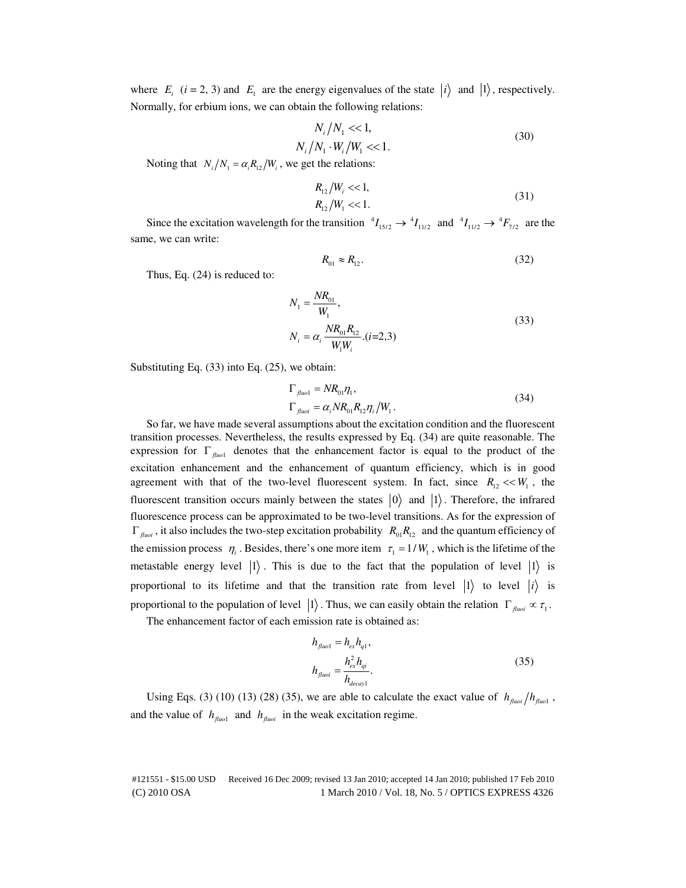where  $E_i$  (*i* = 2, 3) and  $E_1$  are the energy eigenvalues of the state  $|i\rangle$  and  $|1\rangle$ , respectively. Normally, for erbium ions, we can obtain the following relations:

$$
N_i/N_1 \ll 1,
$$
  
\n
$$
N_i/N_1 \cdot W_i/W_i \ll 1.
$$
\n(30)

Noting that  $N_i/N_1 = \alpha_i R_{12}/W_i$ , we get the relations:

$$
R_{12}/W_i \ll 1,
$$
  
\n
$$
R_{12}/W_i \ll 1.
$$
\n(31)

Since the excitation wavelength for the transition  ${}^4I_{15/2} \rightarrow {}^4I_{11/2}$  and  ${}^4I_{11/2} \rightarrow {}^4F_{7/2}$  are the same, we can write:

$$
R_{01} \approx R_{12}.\tag{32}
$$

Thus, Eq. (24) is reduced to:

$$
N_1 = \frac{NR_{01}}{W_1},
$$
  
\n
$$
N_i = \alpha_i \frac{NR_{01}R_{12}}{W_1W_i} \cdot (i=2,3)
$$
\n(33)

Substituting Eq. (33) into Eq. (25), we obtain:

$$
\Gamma_{\text{fluol}} = NR_{01}\eta_1,
$$
\n
$$
\Gamma_{\text{fluol}} = \alpha_i NR_{01}R_{12}\eta_i/W_1.
$$
\n(34)

So far, we have made several assumptions about the excitation condition and the fluorescent transition processes. Nevertheless, the results expressed by Eq. (34) are quite reasonable. The expression for Γ *fluo*<sup>1</sup> denotes that the enhancement factor is equal to the product of the excitation enhancement and the enhancement of quantum efficiency, which is in good agreement with that of the two-level fluorescent system. In fact, since  $R_1, \ll W_1$ , the fluorescent transition occurs mainly between the states  $|0\rangle$  and  $|1\rangle$ . Therefore, the infrared fluorescence process can be approximated to be two-level transitions. As for the expression of  $\Gamma_{\text{fluoi}}$ , it also includes the two-step excitation probability  $R_{01}R_{12}$  and the quantum efficiency of the emission process  $\eta_i$ . Besides, there's one more item  $\tau_1 = 1/W_1$ , which is the lifetime of the metastable energy level  $|1\rangle$ . This is due to the fact that the population of level  $|1\rangle$  is proportional to its lifetime and that the transition rate from level  $|1\rangle$  to level  $|i\rangle$  is proportional to the population of level  $|1\rangle$ . Thus, we can easily obtain the relation  $\Gamma_{\eta_{\text{total}}} \propto \tau_1$ .

The enhancement factor of each emission rate is obtained as:

$$
h_{fluol} = h_{ex} h_{q1},
$$
  
\n
$$
h_{fluol} = \frac{h_{ex}^2 h_{qi}}{h_{decay1}}.
$$
\n(35)

Using Eqs. (3) (10) (13) (28) (35), we are able to calculate the exact value of  $h_{\text{fluol}}/h_{\text{fluol}}$ , and the value of  $h_{\text{fluol}}$  and  $h_{\text{fluoli}}$  in the weak excitation regime.

(C) 2010 OSA 1 March 2010 / Vol. 18, No. 5 / OPTICS EXPRESS 4326 #121551 - \$15.00 USD Received 16 Dec 2009; revised 13 Jan 2010; accepted 14 Jan 2010; published 17 Feb 2010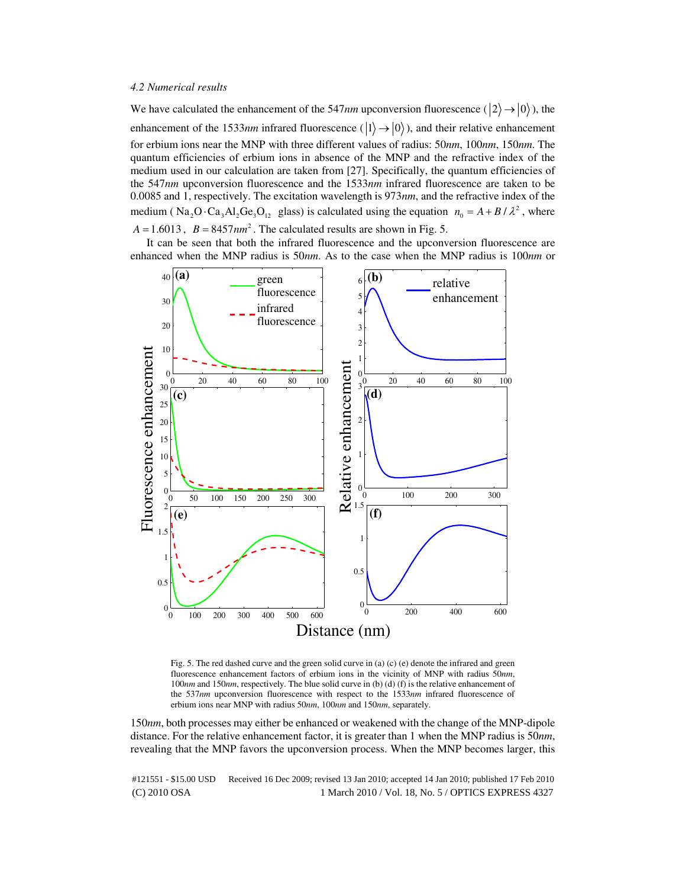# *4.2 Numerical results*

We have calculated the enhancement of the 547*nm* upconversion fluorescence ( $|2\rangle \rightarrow |0\rangle$ ), the enhancement of the 1533*nm* infrared fluorescence ( $|1\rangle \rightarrow |0\rangle$ ), and their relative enhancement for erbium ions near the MNP with three different values of radius: 50*nm*, 100*nm*, 150*nm*. The quantum efficiencies of erbium ions in absence of the MNP and the refractive index of the medium used in our calculation are taken from [27]. Specifically, the quantum efficiencies of the 547*nm* upconversion fluorescence and the 1533*nm* infrared fluorescence are taken to be 0.0085 and 1, respectively. The excitation wavelength is 973*nm*, and the refractive index of the medium ( $\text{Na}_2\text{O} \cdot \text{Ca}_3\text{Al}_2\text{Ge}_3\text{O}_{12}$  glass) is calculated using the equation  $n_0 = A + B/\lambda^2$ , where  $A = 1.6013$ ,  $B = 8457$  *nm*<sup>2</sup>. The calculated results are shown in Fig. 5.

It can be seen that both the infrared fluorescence and the upconversion fluorescence are enhanced when the MNP radius is 50*nm*. As to the case when the MNP radius is 100*nm* or



Fig. 5. The red dashed curve and the green solid curve in (a) (c) (e) denote the infrared and green fluorescence enhancement factors of erbium ions in the vicinity of MNP with radius 50*nm*, 100*nm* and 150*nm*, respectively. The blue solid curve in (b) (d) (f) is the relative enhancement of the 537*nm* upconversion fluorescence with respect to the 1533*nm* infrared fluorescence of erbium ions near MNP with radius 50*nm*, 100*nm* and 150*nm*, separately.

150*nm*, both processes may either be enhanced or weakened with the change of the MNP-dipole distance. For the relative enhancement factor, it is greater than 1 when the MNP radius is 50*nm*, revealing that the MNP favors the upconversion process. When the MNP becomes larger, this

(C) 2010 OSA 1 March 2010 / Vol. 18, No. 5 / OPTICS EXPRESS 4327 #121551 - \$15.00 USD Received 16 Dec 2009; revised 13 Jan 2010; accepted 14 Jan 2010; published 17 Feb 2010